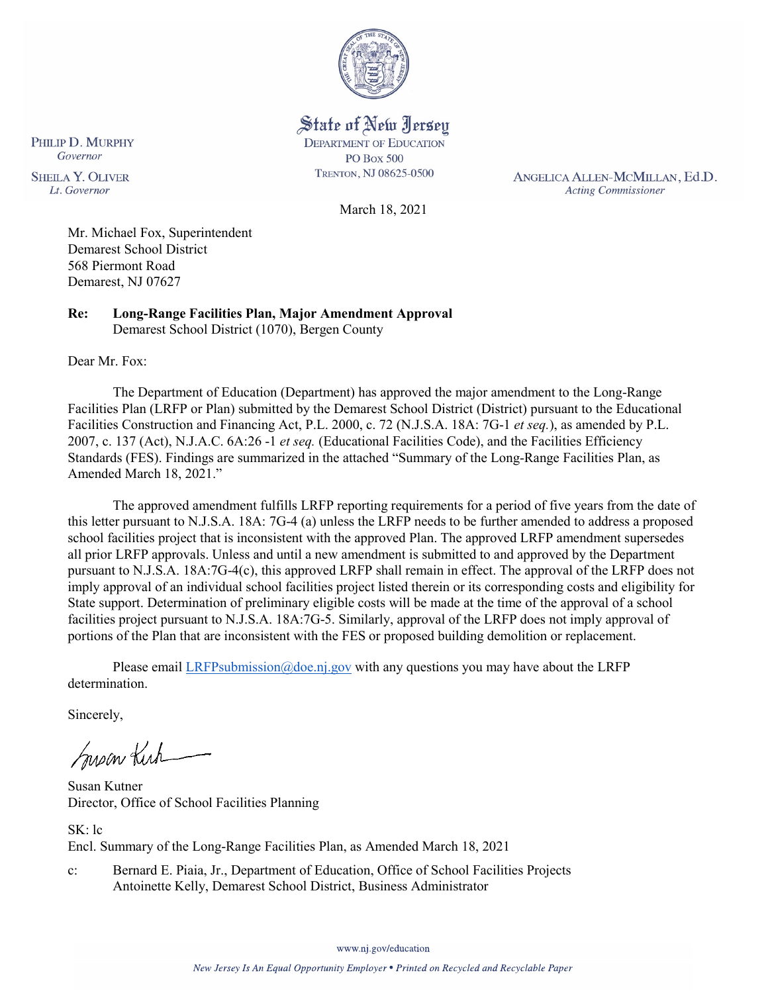

State of New Jersey **DEPARTMENT OF EDUCATION PO Box 500** TRENTON, NJ 08625-0500

ANGELICA ALLEN-MCMILLAN, Ed.D. **Acting Commissioner** 

Governor **SHEILA Y. OLIVER** Lt. Governor

PHILIP D. MURPHY

March 18, 2021

Mr. Michael Fox, Superintendent Demarest School District 568 Piermont Road Demarest, NJ 07627

**Re: Long-Range Facilities Plan, Major Amendment Approval**  Demarest School District (1070), Bergen County

Dear Mr. Fox:

The Department of Education (Department) has approved the major amendment to the Long-Range Facilities Plan (LRFP or Plan) submitted by the Demarest School District (District) pursuant to the Educational Facilities Construction and Financing Act, P.L. 2000, c. 72 (N.J.S.A. 18A: 7G-1 *et seq.*), as amended by P.L. 2007, c. 137 (Act), N.J.A.C. 6A:26 -1 *et seq.* (Educational Facilities Code), and the Facilities Efficiency Standards (FES). Findings are summarized in the attached "Summary of the Long-Range Facilities Plan, as Amended March 18, 2021."

The approved amendment fulfills LRFP reporting requirements for a period of five years from the date of this letter pursuant to N.J.S.A. 18A: 7G-4 (a) unless the LRFP needs to be further amended to address a proposed school facilities project that is inconsistent with the approved Plan. The approved LRFP amendment supersedes all prior LRFP approvals. Unless and until a new amendment is submitted to and approved by the Department pursuant to N.J.S.A. 18A:7G-4(c), this approved LRFP shall remain in effect. The approval of the LRFP does not imply approval of an individual school facilities project listed therein or its corresponding costs and eligibility for State support. Determination of preliminary eligible costs will be made at the time of the approval of a school facilities project pursuant to N.J.S.A. 18A:7G-5. Similarly, approval of the LRFP does not imply approval of portions of the Plan that are inconsistent with the FES or proposed building demolition or replacement.

Please email [LRFPsubmission@doe.nj.gov](mailto:LRFPsubmission@doe.nj.gov) with any questions you may have about the LRFP determination.

Sincerely,

Susan Kich

Susan Kutner Director, Office of School Facilities Planning

SK: lc Encl. Summary of the Long-Range Facilities Plan, as Amended March 18, 2021

c: Bernard E. Piaia, Jr., Department of Education, Office of School Facilities Projects Antoinette Kelly, Demarest School District, Business Administrator

www.nj.gov/education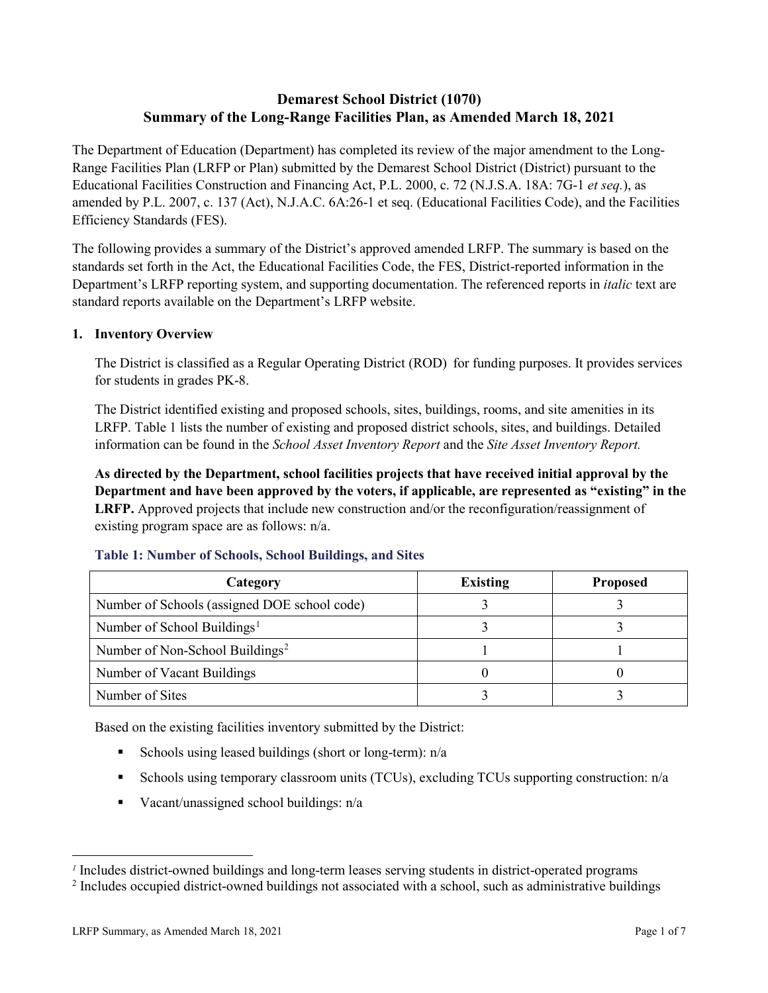# **Demarest School District (1070) Summary of the Long-Range Facilities Plan, as Amended March 18, 2021**

The Department of Education (Department) has completed its review of the major amendment to the Long-Range Facilities Plan (LRFP or Plan) submitted by the Demarest School District (District) pursuant to the Educational Facilities Construction and Financing Act, P.L. 2000, c. 72 (N.J.S.A. 18A: 7G-1 *et seq.*), as amended by P.L. 2007, c. 137 (Act), N.J.A.C. 6A:26-1 et seq. (Educational Facilities Code), and the Facilities Efficiency Standards (FES).

The following provides a summary of the District's approved amended LRFP. The summary is based on the standards set forth in the Act, the Educational Facilities Code, the FES, District-reported information in the Department's LRFP reporting system, and supporting documentation. The referenced reports in *italic* text are standard reports available on the Department's LRFP website.

### **1. Inventory Overview**

The District is classified as a Regular Operating District (ROD) for funding purposes. It provides services for students in grades PK-8.

The District identified existing and proposed schools, sites, buildings, rooms, and site amenities in its LRFP. Table 1 lists the number of existing and proposed district schools, sites, and buildings. Detailed information can be found in the *School Asset Inventory Report* and the *Site Asset Inventory Report.*

**As directed by the Department, school facilities projects that have received initial approval by the Department and have been approved by the voters, if applicable, are represented as "existing" in the LRFP.** Approved projects that include new construction and/or the reconfiguration/reassignment of existing program space are as follows: n/a.

| Category                                     | <b>Existing</b> | <b>Proposed</b> |
|----------------------------------------------|-----------------|-----------------|
| Number of Schools (assigned DOE school code) |                 |                 |
| Number of School Buildings <sup>1</sup>      |                 |                 |
| Number of Non-School Buildings <sup>2</sup>  |                 |                 |
| Number of Vacant Buildings                   |                 |                 |
| Number of Sites                              |                 |                 |

#### **Table 1: Number of Schools, School Buildings, and Sites**

Based on the existing facilities inventory submitted by the District:

- Schools using leased buildings (short or long-term):  $n/a$
- Schools using temporary classroom units (TCUs), excluding TCUs supporting construction: n/a
- Vacant/unassigned school buildings:  $n/a$

 $\overline{a}$ 

<span id="page-1-1"></span><span id="page-1-0"></span>*<sup>1</sup>* Includes district-owned buildings and long-term leases serving students in district-operated programs

<sup>&</sup>lt;sup>2</sup> Includes occupied district-owned buildings not associated with a school, such as administrative buildings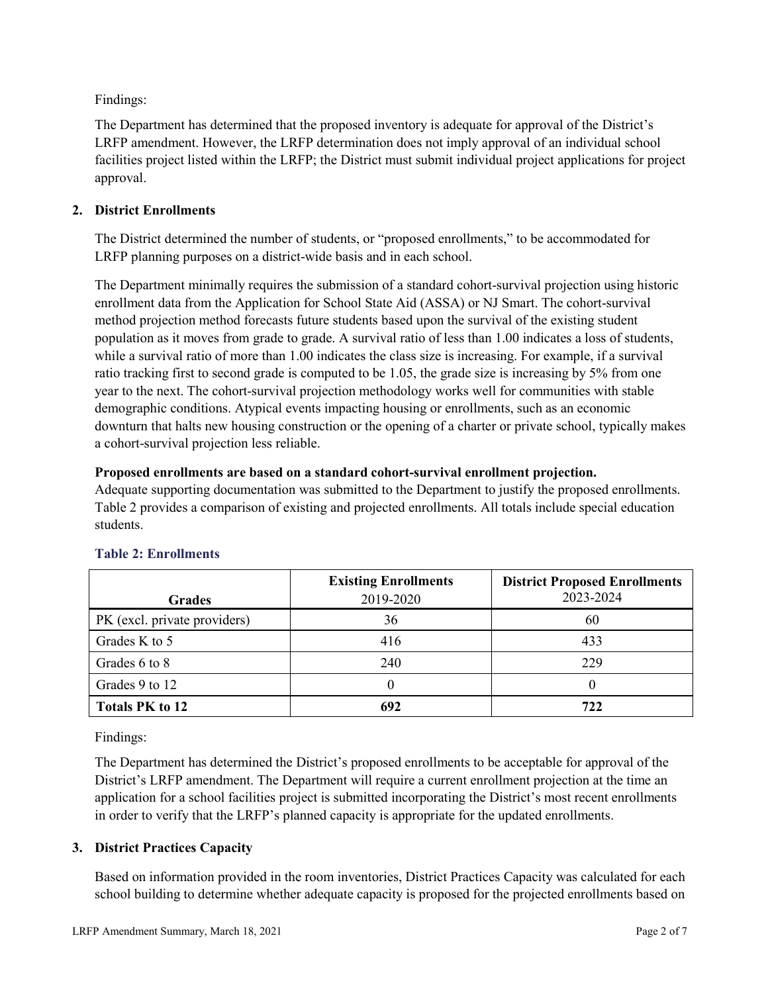Findings:

The Department has determined that the proposed inventory is adequate for approval of the District's LRFP amendment. However, the LRFP determination does not imply approval of an individual school facilities project listed within the LRFP; the District must submit individual project applications for project approval.

# **2. District Enrollments**

The District determined the number of students, or "proposed enrollments," to be accommodated for LRFP planning purposes on a district-wide basis and in each school.

The Department minimally requires the submission of a standard cohort-survival projection using historic enrollment data from the Application for School State Aid (ASSA) or NJ Smart. The cohort-survival method projection method forecasts future students based upon the survival of the existing student population as it moves from grade to grade. A survival ratio of less than 1.00 indicates a loss of students, while a survival ratio of more than 1.00 indicates the class size is increasing. For example, if a survival ratio tracking first to second grade is computed to be 1.05, the grade size is increasing by 5% from one year to the next. The cohort-survival projection methodology works well for communities with stable demographic conditions. Atypical events impacting housing or enrollments, such as an economic downturn that halts new housing construction or the opening of a charter or private school, typically makes a cohort-survival projection less reliable.

### **Proposed enrollments are based on a standard cohort-survival enrollment projection.**

Adequate supporting documentation was submitted to the Department to justify the proposed enrollments. Table 2 provides a comparison of existing and projected enrollments. All totals include special education students.

|                              | <b>Existing Enrollments</b> | <b>District Proposed Enrollments</b> |
|------------------------------|-----------------------------|--------------------------------------|
| <b>Grades</b>                | 2019-2020                   | 2023-2024                            |
| PK (excl. private providers) | 36                          | 60                                   |
| Grades K to 5                | 416                         | 433                                  |
| Grades 6 to 8                | 240                         | 229                                  |
| Grades 9 to 12               |                             |                                      |
| <b>Totals PK to 12</b>       | 692                         | 722                                  |

# **Table 2: Enrollments**

Findings:

The Department has determined the District's proposed enrollments to be acceptable for approval of the District's LRFP amendment. The Department will require a current enrollment projection at the time an application for a school facilities project is submitted incorporating the District's most recent enrollments in order to verify that the LRFP's planned capacity is appropriate for the updated enrollments.

# **3. District Practices Capacity**

Based on information provided in the room inventories, District Practices Capacity was calculated for each school building to determine whether adequate capacity is proposed for the projected enrollments based on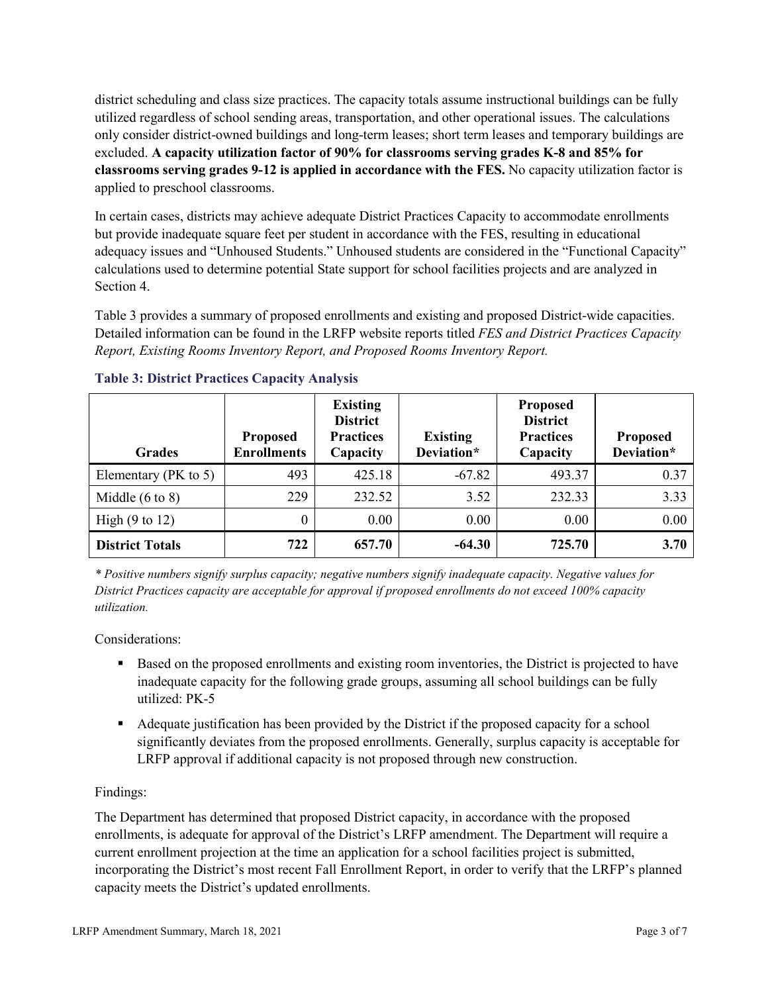district scheduling and class size practices. The capacity totals assume instructional buildings can be fully utilized regardless of school sending areas, transportation, and other operational issues. The calculations only consider district-owned buildings and long-term leases; short term leases and temporary buildings are excluded. **A capacity utilization factor of 90% for classrooms serving grades K-8 and 85% for classrooms serving grades 9-12 is applied in accordance with the FES.** No capacity utilization factor is applied to preschool classrooms.

In certain cases, districts may achieve adequate District Practices Capacity to accommodate enrollments but provide inadequate square feet per student in accordance with the FES, resulting in educational adequacy issues and "Unhoused Students." Unhoused students are considered in the "Functional Capacity" calculations used to determine potential State support for school facilities projects and are analyzed in Section 4.

Table 3 provides a summary of proposed enrollments and existing and proposed District-wide capacities. Detailed information can be found in the LRFP website reports titled *FES and District Practices Capacity Report, Existing Rooms Inventory Report, and Proposed Rooms Inventory Report.*

| <b>Grades</b>              | <b>Proposed</b><br><b>Enrollments</b> | <b>Existing</b><br><b>District</b><br><b>Practices</b><br>Capacity | <b>Existing</b><br>Deviation* | <b>Proposed</b><br><b>District</b><br><b>Practices</b><br>Capacity | <b>Proposed</b><br>Deviation* |
|----------------------------|---------------------------------------|--------------------------------------------------------------------|-------------------------------|--------------------------------------------------------------------|-------------------------------|
| Elementary ( $PK$ to 5)    | 493                                   | 425.18                                                             | $-67.82$                      | 493.37                                                             | 0.37                          |
| Middle $(6 \text{ to } 8)$ | 229                                   | 232.52                                                             | 3.52                          | 232.33                                                             | 3.33                          |
| High $(9 \text{ to } 12)$  | 0                                     | 0.00                                                               | 0.00                          | 0.00                                                               | 0.00                          |
| <b>District Totals</b>     | 722                                   | 657.70                                                             | $-64.30$                      | 725.70                                                             | 3.70                          |

# **Table 3: District Practices Capacity Analysis**

*\* Positive numbers signify surplus capacity; negative numbers signify inadequate capacity. Negative values for District Practices capacity are acceptable for approval if proposed enrollments do not exceed 100% capacity utilization.*

Considerations:

- Based on the proposed enrollments and existing room inventories, the District is projected to have inadequate capacity for the following grade groups, assuming all school buildings can be fully utilized: PK-5
- Adequate justification has been provided by the District if the proposed capacity for a school significantly deviates from the proposed enrollments. Generally, surplus capacity is acceptable for LRFP approval if additional capacity is not proposed through new construction.

# Findings:

The Department has determined that proposed District capacity, in accordance with the proposed enrollments, is adequate for approval of the District's LRFP amendment. The Department will require a current enrollment projection at the time an application for a school facilities project is submitted, incorporating the District's most recent Fall Enrollment Report, in order to verify that the LRFP's planned capacity meets the District's updated enrollments.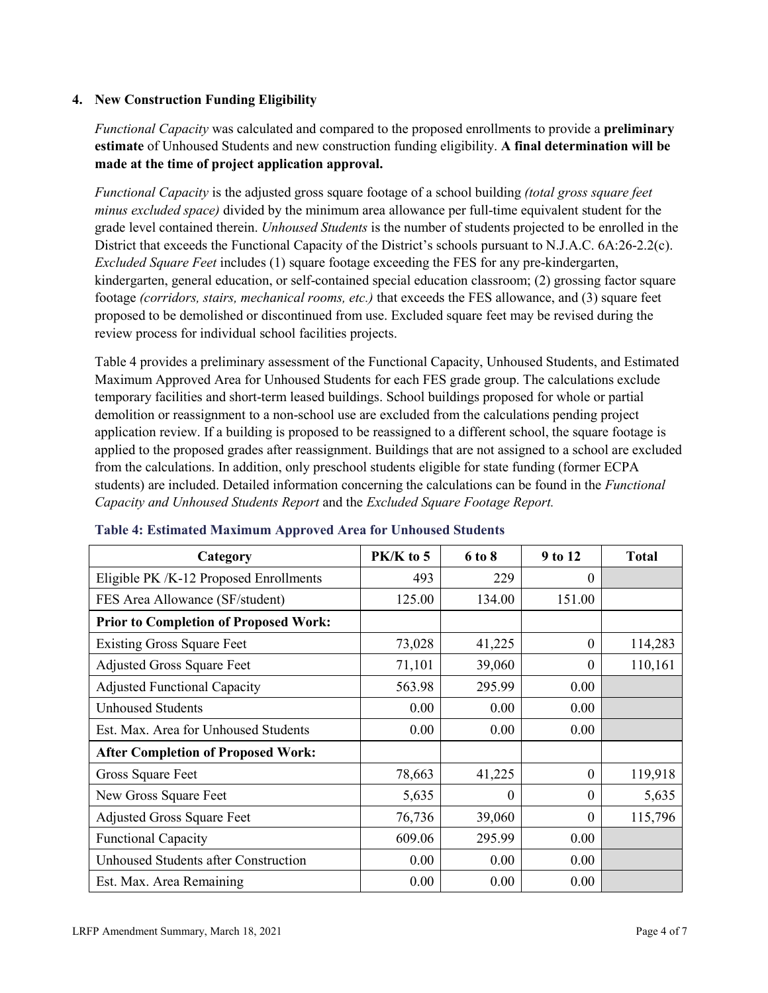### **4. New Construction Funding Eligibility**

*Functional Capacity* was calculated and compared to the proposed enrollments to provide a **preliminary estimate** of Unhoused Students and new construction funding eligibility. **A final determination will be made at the time of project application approval.**

*Functional Capacity* is the adjusted gross square footage of a school building *(total gross square feet minus excluded space)* divided by the minimum area allowance per full-time equivalent student for the grade level contained therein. *Unhoused Students* is the number of students projected to be enrolled in the District that exceeds the Functional Capacity of the District's schools pursuant to N.J.A.C. 6A:26-2.2(c). *Excluded Square Feet* includes (1) square footage exceeding the FES for any pre-kindergarten, kindergarten, general education, or self-contained special education classroom; (2) grossing factor square footage *(corridors, stairs, mechanical rooms, etc.)* that exceeds the FES allowance, and (3) square feet proposed to be demolished or discontinued from use. Excluded square feet may be revised during the review process for individual school facilities projects.

Table 4 provides a preliminary assessment of the Functional Capacity, Unhoused Students, and Estimated Maximum Approved Area for Unhoused Students for each FES grade group. The calculations exclude temporary facilities and short-term leased buildings. School buildings proposed for whole or partial demolition or reassignment to a non-school use are excluded from the calculations pending project application review. If a building is proposed to be reassigned to a different school, the square footage is applied to the proposed grades after reassignment. Buildings that are not assigned to a school are excluded from the calculations. In addition, only preschool students eligible for state funding (former ECPA students) are included. Detailed information concerning the calculations can be found in the *Functional Capacity and Unhoused Students Report* and the *Excluded Square Footage Report.*

| Category                                     | PK/K to 5 | 6 to 8 | 9 to 12      | <b>Total</b> |
|----------------------------------------------|-----------|--------|--------------|--------------|
| Eligible PK /K-12 Proposed Enrollments       | 493       | 229    | 0            |              |
| FES Area Allowance (SF/student)              | 125.00    | 134.00 | 151.00       |              |
| <b>Prior to Completion of Proposed Work:</b> |           |        |              |              |
| <b>Existing Gross Square Feet</b>            | 73,028    | 41,225 | $\theta$     | 114,283      |
| <b>Adjusted Gross Square Feet</b>            | 71,101    | 39,060 | $\theta$     | 110,161      |
| <b>Adjusted Functional Capacity</b>          | 563.98    | 295.99 | 0.00         |              |
| <b>Unhoused Students</b>                     | 0.00      | 0.00   | 0.00         |              |
| Est. Max. Area for Unhoused Students         | 0.00      | 0.00   | 0.00         |              |
| <b>After Completion of Proposed Work:</b>    |           |        |              |              |
| Gross Square Feet                            | 78,663    | 41,225 | $\theta$     | 119,918      |
| New Gross Square Feet                        | 5,635     | 0      | $\theta$     | 5,635        |
| <b>Adjusted Gross Square Feet</b>            | 76,736    | 39,060 | $\mathbf{0}$ | 115,796      |
| <b>Functional Capacity</b>                   | 609.06    | 295.99 | 0.00         |              |
| Unhoused Students after Construction         | 0.00      | 0.00   | 0.00         |              |
| Est. Max. Area Remaining                     | 0.00      | 0.00   | 0.00         |              |

#### **Table 4: Estimated Maximum Approved Area for Unhoused Students**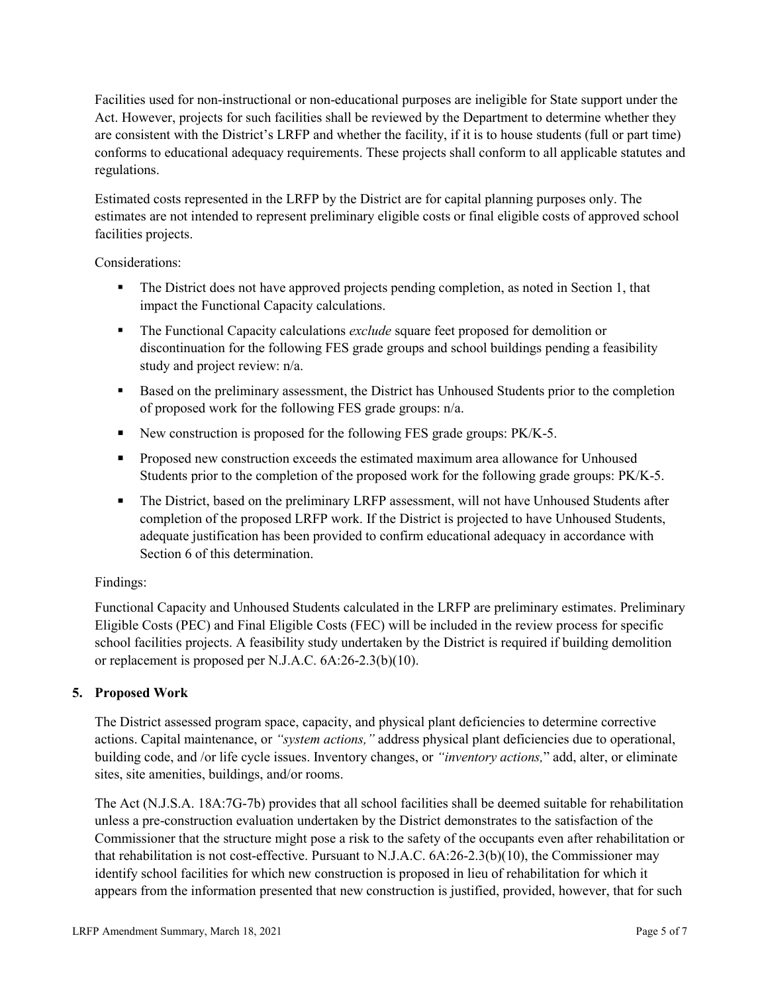Facilities used for non-instructional or non-educational purposes are ineligible for State support under the Act. However, projects for such facilities shall be reviewed by the Department to determine whether they are consistent with the District's LRFP and whether the facility, if it is to house students (full or part time) conforms to educational adequacy requirements. These projects shall conform to all applicable statutes and regulations.

Estimated costs represented in the LRFP by the District are for capital planning purposes only. The estimates are not intended to represent preliminary eligible costs or final eligible costs of approved school facilities projects.

Considerations:

- The District does not have approved projects pending completion, as noted in Section 1, that impact the Functional Capacity calculations.
- **The Functional Capacity calculations** *exclude* square feet proposed for demolition or discontinuation for the following FES grade groups and school buildings pending a feasibility study and project review: n/a.
- Based on the preliminary assessment, the District has Unhoused Students prior to the completion of proposed work for the following FES grade groups: n/a.
- New construction is proposed for the following FES grade groups: PK/K-5.
- Proposed new construction exceeds the estimated maximum area allowance for Unhoused Students prior to the completion of the proposed work for the following grade groups: PK/K-5.
- The District, based on the preliminary LRFP assessment, will not have Unhoused Students after completion of the proposed LRFP work. If the District is projected to have Unhoused Students, adequate justification has been provided to confirm educational adequacy in accordance with Section 6 of this determination.

# Findings:

Functional Capacity and Unhoused Students calculated in the LRFP are preliminary estimates. Preliminary Eligible Costs (PEC) and Final Eligible Costs (FEC) will be included in the review process for specific school facilities projects. A feasibility study undertaken by the District is required if building demolition or replacement is proposed per N.J.A.C. 6A:26-2.3(b)(10).

# **5. Proposed Work**

The District assessed program space, capacity, and physical plant deficiencies to determine corrective actions. Capital maintenance, or *"system actions,"* address physical plant deficiencies due to operational, building code, and /or life cycle issues. Inventory changes, or *"inventory actions,*" add, alter, or eliminate sites, site amenities, buildings, and/or rooms.

The Act (N.J.S.A. 18A:7G-7b) provides that all school facilities shall be deemed suitable for rehabilitation unless a pre-construction evaluation undertaken by the District demonstrates to the satisfaction of the Commissioner that the structure might pose a risk to the safety of the occupants even after rehabilitation or that rehabilitation is not cost-effective. Pursuant to N.J.A.C. 6A:26-2.3(b)(10), the Commissioner may identify school facilities for which new construction is proposed in lieu of rehabilitation for which it appears from the information presented that new construction is justified, provided, however, that for such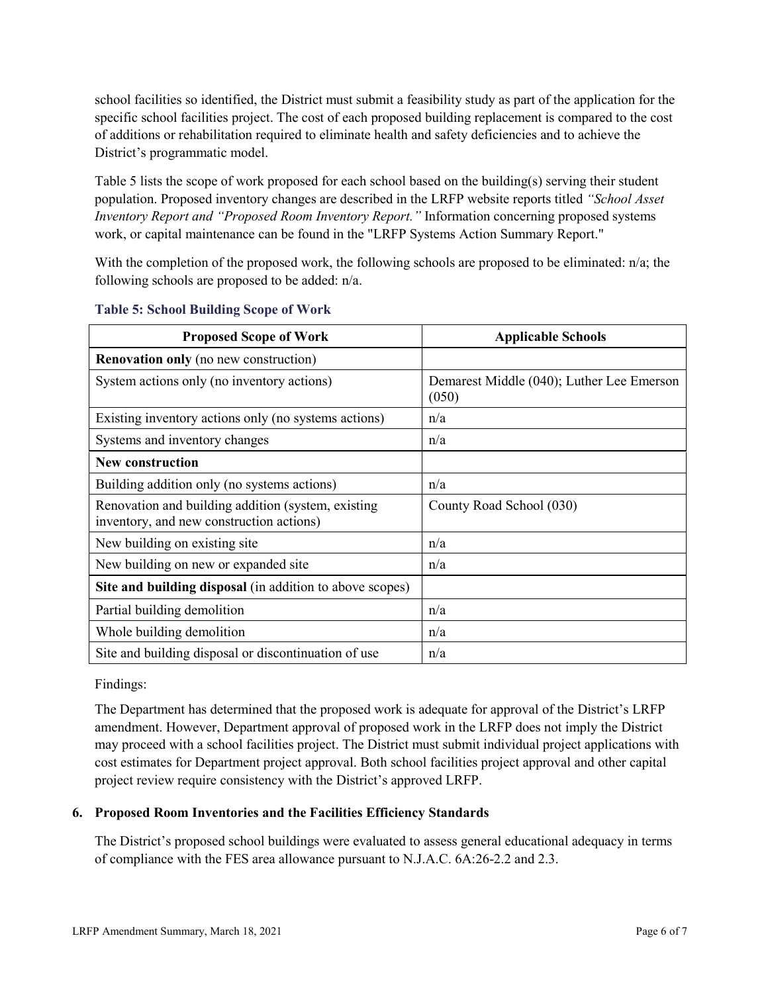school facilities so identified, the District must submit a feasibility study as part of the application for the specific school facilities project. The cost of each proposed building replacement is compared to the cost of additions or rehabilitation required to eliminate health and safety deficiencies and to achieve the District's programmatic model.

Table 5 lists the scope of work proposed for each school based on the building(s) serving their student population. Proposed inventory changes are described in the LRFP website reports titled *"School Asset Inventory Report and "Proposed Room Inventory Report."* Information concerning proposed systems work, or capital maintenance can be found in the "LRFP Systems Action Summary Report."

With the completion of the proposed work, the following schools are proposed to be eliminated:  $n/a$ ; the following schools are proposed to be added: n/a.

| <b>Proposed Scope of Work</b>                                                                  | <b>Applicable Schools</b>                          |
|------------------------------------------------------------------------------------------------|----------------------------------------------------|
| <b>Renovation only</b> (no new construction)                                                   |                                                    |
| System actions only (no inventory actions)                                                     | Demarest Middle (040); Luther Lee Emerson<br>(050) |
| Existing inventory actions only (no systems actions)                                           | n/a                                                |
| Systems and inventory changes                                                                  | n/a                                                |
| <b>New construction</b>                                                                        |                                                    |
| Building addition only (no systems actions)                                                    | n/a                                                |
| Renovation and building addition (system, existing<br>inventory, and new construction actions) | County Road School (030)                           |
| New building on existing site                                                                  | n/a                                                |
| New building on new or expanded site                                                           | n/a                                                |
| Site and building disposal (in addition to above scopes)                                       |                                                    |
| Partial building demolition                                                                    | n/a                                                |
| Whole building demolition                                                                      | n/a                                                |
| Site and building disposal or discontinuation of use                                           | n/a                                                |

#### **Table 5: School Building Scope of Work**

Findings:

The Department has determined that the proposed work is adequate for approval of the District's LRFP amendment. However, Department approval of proposed work in the LRFP does not imply the District may proceed with a school facilities project. The District must submit individual project applications with cost estimates for Department project approval. Both school facilities project approval and other capital project review require consistency with the District's approved LRFP.

#### **6. Proposed Room Inventories and the Facilities Efficiency Standards**

The District's proposed school buildings were evaluated to assess general educational adequacy in terms of compliance with the FES area allowance pursuant to N.J.A.C. 6A:26-2.2 and 2.3.